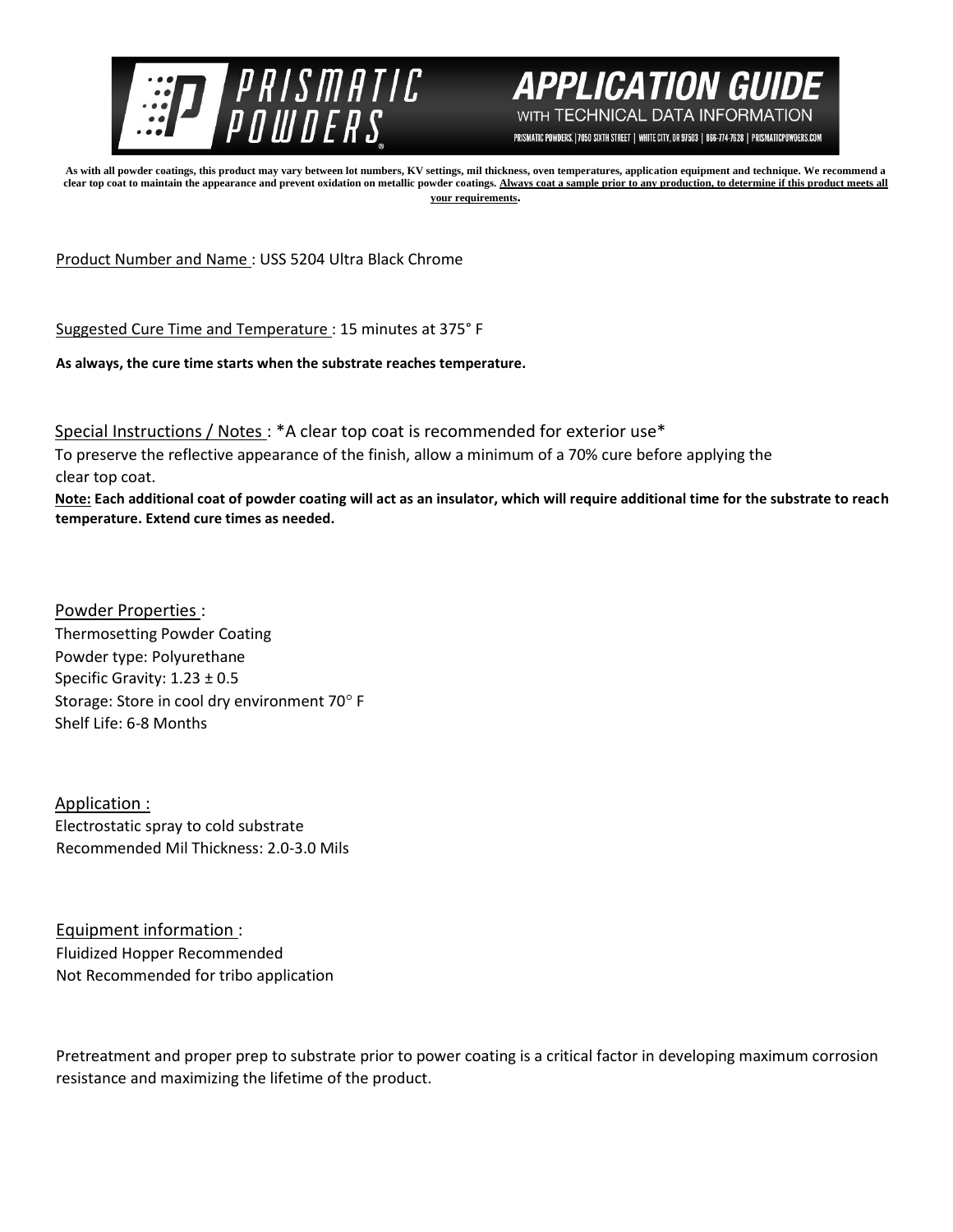



PRISMATIC POWDERS. | 7050 SIXTH STREET | WHITE CITY, OR 97503 | 866-774-7628 | PRISMATICPOWDERS.COM

**As with all powder coatings, this product may vary between lot numbers, KV settings, mil thickness, oven temperatures, application equipment and technique. We recommend a**  clear top coat to maintain the appearance and prevent oxidation on metallic powder coatings. Always coat a sample prior to any production, to determine if this product meets all **your requirements.** 

Product Number and Name : USS 5204 Ultra Black Chrome

Suggested Cure Time and Temperature : 15 minutes at 375° F

**As always, the cure time starts when the substrate reaches temperature.**

Special Instructions / Notes : \*A clear top coat is recommended for exterior use\*

To preserve the reflective appearance of the finish, allow a minimum of a 70% cure before applying the clear top coat.

**Note: Each additional coat of powder coating will act as an insulator, which will require additional time for the substrate to reach temperature. Extend cure times as needed.** 

Powder Properties : Thermosetting Powder Coating Powder type: Polyurethane Specific Gravity: 1.23 ± 0.5 Storage: Store in cool dry environment 70° F Shelf Life: 6-8 Months

Application : Electrostatic spray to cold substrate Recommended Mil Thickness: 2.0-3.0 Mils

Equipment information : Fluidized Hopper Recommended Not Recommended for tribo application

Pretreatment and proper prep to substrate prior to power coating is a critical factor in developing maximum corrosion resistance and maximizing the lifetime of the product.